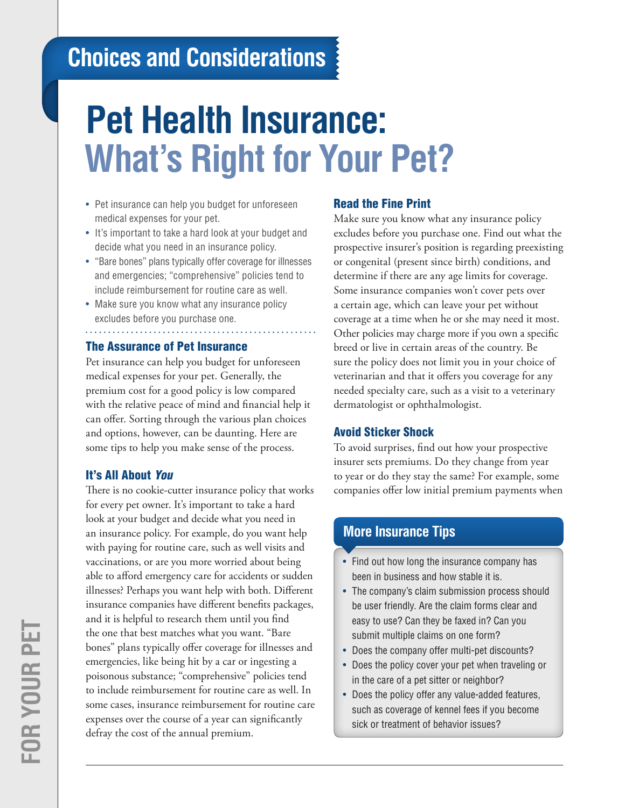# **Choices and Considerations**

# **Pet Health Insurance: What's Right for Your Pet?**

- Pet insurance can help you budget for unforeseen medical expenses for your pet.
- It's important to take a hard look at your budget and decide what you need in an insurance policy.
- "Bare bones" plans typically offer coverage for illnesses and emergencies; "comprehensive" policies tend to include reimbursement for routine care as well.
- Make sure you know what any insurance policy excludes before you purchase one.

# The Assurance of Pet Insurance

Pet insurance can help you budget for unforeseen medical expenses for your pet. Generally, the premium cost for a good policy is low compared with the relative peace of mind and financial help it can offer. Sorting through the various plan choices and options, however, can be daunting. Here are some tips to help you make sense of the process.

# It's All About *You*

There is no cookie-cutter insurance policy that works for every pet owner. It's important to take a hard look at your budget and decide what you need in an insurance policy. For example, do you want help with paying for routine care, such as well visits and vaccinations, or are you more worried about being able to afford emergency care for accidents or sudden illnesses? Perhaps you want help with both. Different insurance companies have different benefits packages, and it is helpful to research them until you find the one that best matches what you want. "Bare bones" plans typically offer coverage for illnesses and emergencies, like being hit by a car or ingesting a poisonous substance; "comprehensive" policies tend to include reimbursement for routine care as well. In some cases, insurance reimbursement for routine care expenses over the course of a year can significantly defray the cost of the annual premium.

# Read the Fine Print

Make sure you know what any insurance policy excludes before you purchase one. Find out what the prospective insurer's position is regarding preexisting or congenital (present since birth) conditions, and determine if there are any age limits for coverage. Some insurance companies won't cover pets over a certain age, which can leave your pet without coverage at a time when he or she may need it most. Other policies may charge more if you own a specific breed or live in certain areas of the country. Be sure the policy does not limit you in your choice of veterinarian and that it offers you coverage for any needed specialty care, such as a visit to a veterinary dermatologist or ophthalmologist.

#### Avoid Sticker Shock

To avoid surprises, find out how your prospective insurer sets premiums. Do they change from year to year or do they stay the same? For example, some companies offer low initial premium payments when

# **More Insurance Tips**

- Find out how long the insurance company has been in business and how stable it is.
- The company's claim submission process should be user friendly. Are the claim forms clear and easy to use? Can they be faxed in? Can you submit multiple claims on one form?
- Does the company offer multi-pet discounts?
- Does the policy cover your pet when traveling or in the care of a pet sitter or neighbor?
- Does the policy offer any value-added features, such as coverage of kennel fees if you become sick or treatment of behavior issues?